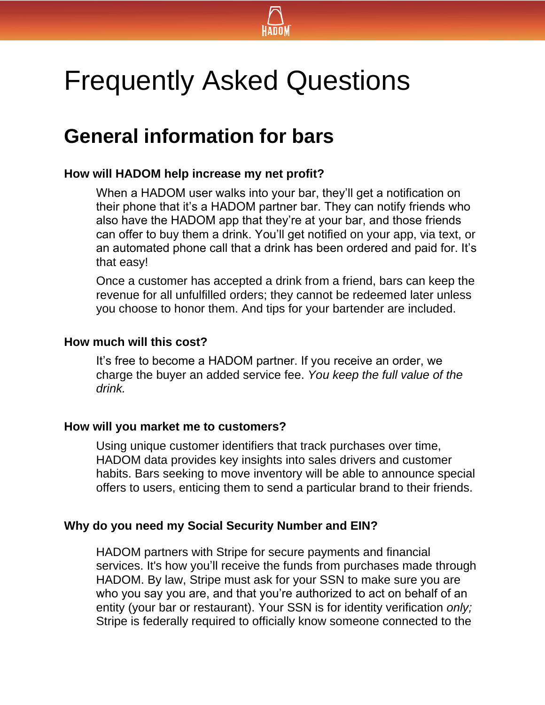

# Frequently Asked Questions

### **General information for bars**

#### **How will HADOM help increase my net profit?**

When a HADOM user walks into your bar, they'll get a notification on their phone that it's a HADOM partner bar. They can notify friends who also have the HADOM app that they're at your bar, and those friends can offer to buy them a drink. You'll get notified on your app, via text, or an automated phone call that a drink has been ordered and paid for. It's that easy!

Once a customer has accepted a drink from a friend, bars can keep the revenue for all unfulfilled orders; they cannot be redeemed later unless you choose to honor them. And tips for your bartender are included.

#### **How much will this cost?**

It's free to become a HADOM partner. If you receive an order, we charge the buyer an added service fee. *You keep the full value of the drink.* 

#### **How will you market me to customers?**

Using unique customer identifiers that track purchases over time, HADOM data provides key insights into sales drivers and customer habits. Bars seeking to move inventory will be able to announce special offers to users, enticing them to send a particular brand to their friends.

#### **Why do you need my Social Security Number and EIN?**

HADOM partners with Stripe for secure payments and financial services. It's how you'll receive the funds from purchases made through HADOM. By law, Stripe must ask for your SSN to make sure you are who you say you are, and that you're authorized to act on behalf of an entity (your bar or restaurant). Your SSN is for identity verification *only;* Stripe is federally required to officially know someone connected to the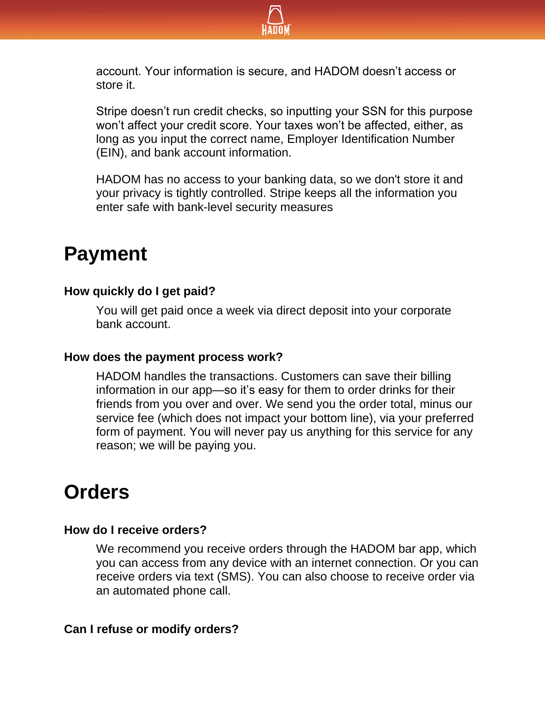

account. Your information is secure, and HADOM doesn't access or store it.

Stripe doesn't run credit checks, so inputting your SSN for this purpose won't affect your credit score. Your taxes won't be affected, either, as long as you input the correct name, Employer Identification Number (EIN), and bank account information.

HADOM has no access to your banking data, so we don't store it and your privacy is tightly controlled. Stripe keeps all the information you enter safe with bank-level security measures

## **Payment**

#### **How quickly do I get paid?**

You will get paid once a week via direct deposit into your corporate bank account.

#### **How does the payment process work?**

HADOM handles the transactions. Customers can save their billing information in our app—so it's easy for them to order drinks for their friends from you over and over. We send you the order total, minus our service fee (which does not impact your bottom line), via your preferred form of payment. You will never pay us anything for this service for any reason; we will be paying you.

### **Orders**

#### **How do I receive orders?**

We recommend you receive orders through the HADOM bar app, which you can access from any device with an internet connection. Or you can receive orders via text (SMS). You can also choose to receive order via an automated phone call.

#### **Can I refuse or modify orders?**